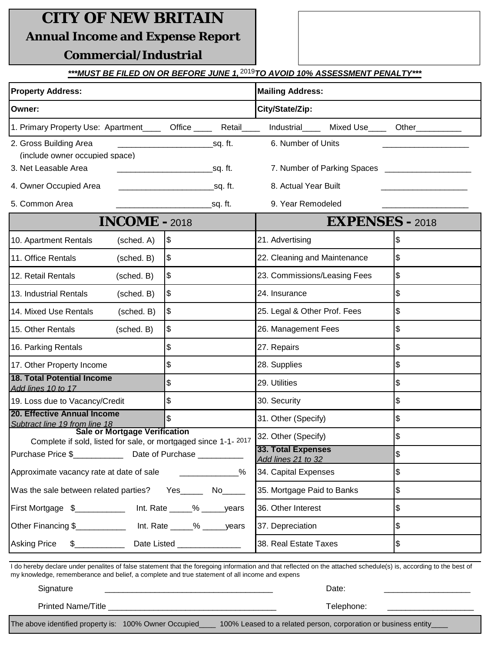## **CITY OF NEW BRITAIN**

**Annual Income and Expense Report**

## **Commercial/Industrial**

## <u>\*\*\*MUST BE FILED ON OR BEFORE JUNE 1,<sup>2019</sup>TO AVOID 10% ASSESSMENT PENALTY\*\*\*</u>

| <b>Property Address:</b>                                                                                                                                                                                                                                           |                             | <b>Mailing Address:</b>                   |          |                              |                        |                 |  |  |
|--------------------------------------------------------------------------------------------------------------------------------------------------------------------------------------------------------------------------------------------------------------------|-----------------------------|-------------------------------------------|----------|------------------------------|------------------------|-----------------|--|--|
| Owner:                                                                                                                                                                                                                                                             |                             | City/State/Zip:                           |          |                              |                        |                 |  |  |
| 1. Primary Property Use: Apartment ____ Office ____ Retail____                                                                                                                                                                                                     |                             |                                           |          | Industrial                   |                        | Mixed Use Other |  |  |
| 2. Gross Building Area<br>(include owner occupied space)                                                                                                                                                                                                           |                             |                                           | _sq. ft. | 6. Number of Units           |                        |                 |  |  |
| 3. Net Leasable Area                                                                                                                                                                                                                                               |                             |                                           |          |                              |                        |                 |  |  |
| 4. Owner Occupied Area                                                                                                                                                                                                                                             |                             | __________________________________sq. ft. |          | 8. Actual Year Built         |                        |                 |  |  |
| 5. Common Area                                                                                                                                                                                                                                                     |                             |                                           | _sq. ft. | 9. Year Remodeled            |                        |                 |  |  |
| <b>INCOME - 2018</b>                                                                                                                                                                                                                                               |                             |                                           |          |                              | <b>EXPENSES - 2018</b> |                 |  |  |
| 10. Apartment Rentals                                                                                                                                                                                                                                              | (sched. A)                  | \$                                        |          | 21. Advertising              |                        | \$              |  |  |
| 11. Office Rentals                                                                                                                                                                                                                                                 | (sched. B)                  | \$                                        |          | 22. Cleaning and Maintenance |                        | \$              |  |  |
| 12. Retail Rentals<br>(sched. B)                                                                                                                                                                                                                                   |                             | \$                                        |          | 23. Commissions/Leasing Fees |                        | $\frac{1}{2}$   |  |  |
| 13. Industrial Rentals                                                                                                                                                                                                                                             | (sched. B)                  | \$                                        |          | 24. Insurance                |                        | \$              |  |  |
| 14. Mixed Use Rentals                                                                                                                                                                                                                                              | (sched. B)                  | \$                                        |          | 25. Legal & Other Prof. Fees |                        | \$              |  |  |
| 15. Other Rentals<br>(sched. B)                                                                                                                                                                                                                                    |                             | \$                                        |          | 26. Management Fees          |                        | \$              |  |  |
| 16. Parking Rentals                                                                                                                                                                                                                                                |                             | \$                                        |          | 27. Repairs                  |                        | \$              |  |  |
| 17. Other Property Income                                                                                                                                                                                                                                          |                             | \$                                        |          | 28. Supplies                 |                        | \$              |  |  |
| <b>18. Total Potential Income</b><br>Add lines 10 to 17                                                                                                                                                                                                            |                             | \$                                        |          | 29. Utilities                |                        | \$              |  |  |
| 19. Loss due to Vacancy/Credit                                                                                                                                                                                                                                     |                             | \$                                        |          | 30. Security                 |                        | \$              |  |  |
| <b>20. Effective Annual Income</b><br>Subtract line 19 from line 18                                                                                                                                                                                                |                             | \$                                        |          | 31. Other (Specify)          |                        | \$              |  |  |
| <b>Sale or Mortgage Verification</b><br>Complete if sold, listed for sale, or mortgaged since 1-1-2017                                                                                                                                                             |                             |                                           |          | 32. Other (Specify)          |                        | \$              |  |  |
| Purchase Price \$_______________ Date of Purchase ____________                                                                                                                                                                                                     |                             | 33. Total Expenses<br>Add lines 21 to 32  |          | \$                           |                        |                 |  |  |
| Approximate vacancy rate at date of sale                                                                                                                                                                                                                           | $\sim$ $\sim$ $\sim$ $\sim$ | 34. Capital Expenses                      |          | $\frac{1}{2}$                |                        |                 |  |  |
| Was the sale between related parties? Yes_______ No______                                                                                                                                                                                                          |                             |                                           |          | 35. Mortgage Paid to Banks   |                        | \$              |  |  |
| First Mortgage \$_____________ Int. Rate _____% _____ years                                                                                                                                                                                                        |                             |                                           |          | 36. Other Interest           |                        | $\frac{1}{2}$   |  |  |
| Other Financing \$_____________ Int. Rate _____% _____ years                                                                                                                                                                                                       |                             |                                           |          | 37. Depreciation             |                        | \$              |  |  |
| <b>Asking Price</b><br>$\frac{1}{2}$                                                                                                                                                                                                                               |                             | Date Listed _______________               |          | 38. Real Estate Taxes        |                        | $\frac{3}{2}$   |  |  |
| I do hereby declare under penalites of false statement that the foregoing information and that reflected on the attached schedule(s) is, according to the best of<br>my knowledge, rememberance and belief, a complete and true statement of all income and expens |                             |                                           |          |                              |                        |                 |  |  |
| Signature                                                                                                                                                                                                                                                          |                             |                                           |          |                              | Date:                  |                 |  |  |

Telephone:

Printed Name/Title

The above identified property is: 100% Owner Occupied\_\_\_\_ 100% Leased to a related person, corporation or business entity\_